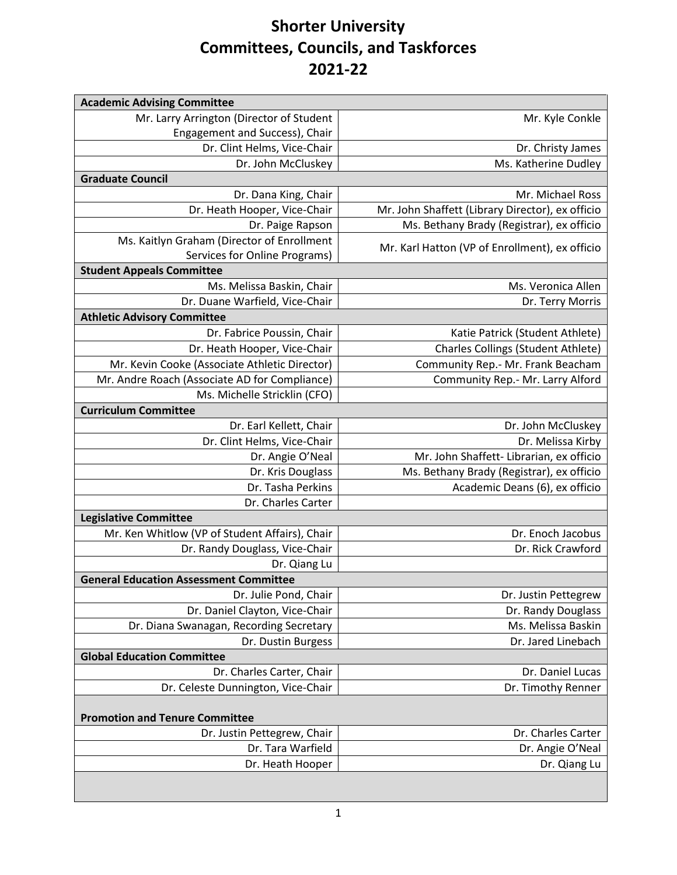## **Shorter University Committees, Councils, and Taskforces 2021-22**

| <b>Academic Advising Committee</b>             |                                                  |
|------------------------------------------------|--------------------------------------------------|
| Mr. Larry Arrington (Director of Student       | Mr. Kyle Conkle                                  |
| Engagement and Success), Chair                 |                                                  |
| Dr. Clint Helms, Vice-Chair                    | Dr. Christy James                                |
| Dr. John McCluskey                             | Ms. Katherine Dudley                             |
| <b>Graduate Council</b>                        |                                                  |
| Dr. Dana King, Chair                           | Mr. Michael Ross                                 |
| Dr. Heath Hooper, Vice-Chair                   | Mr. John Shaffett (Library Director), ex officio |
| Dr. Paige Rapson                               | Ms. Bethany Brady (Registrar), ex officio        |
| Ms. Kaitlyn Graham (Director of Enrollment     | Mr. Karl Hatton (VP of Enrollment), ex officio   |
| Services for Online Programs)                  |                                                  |
| <b>Student Appeals Committee</b>               |                                                  |
| Ms. Melissa Baskin, Chair                      | Ms. Veronica Allen                               |
| Dr. Duane Warfield, Vice-Chair                 | Dr. Terry Morris                                 |
| <b>Athletic Advisory Committee</b>             |                                                  |
| Dr. Fabrice Poussin, Chair                     | Katie Patrick (Student Athlete)                  |
| Dr. Heath Hooper, Vice-Chair                   | <b>Charles Collings (Student Athlete)</b>        |
| Mr. Kevin Cooke (Associate Athletic Director)  | Community Rep.- Mr. Frank Beacham                |
| Mr. Andre Roach (Associate AD for Compliance)  | Community Rep.- Mr. Larry Alford                 |
| Ms. Michelle Stricklin (CFO)                   |                                                  |
| <b>Curriculum Committee</b>                    |                                                  |
| Dr. Earl Kellett, Chair                        | Dr. John McCluskey                               |
| Dr. Clint Helms, Vice-Chair                    | Dr. Melissa Kirby                                |
| Dr. Angie O'Neal                               | Mr. John Shaffett- Librarian, ex officio         |
| Dr. Kris Douglass                              | Ms. Bethany Brady (Registrar), ex officio        |
| Dr. Tasha Perkins                              | Academic Deans (6), ex officio                   |
| Dr. Charles Carter                             |                                                  |
| <b>Legislative Committee</b>                   |                                                  |
| Mr. Ken Whitlow (VP of Student Affairs), Chair | Dr. Enoch Jacobus                                |
| Dr. Randy Douglass, Vice-Chair                 | Dr. Rick Crawford                                |
| Dr. Qiang Lu                                   |                                                  |
| <b>General Education Assessment Committee</b>  |                                                  |
| Dr. Julie Pond, Chair                          | Dr. Justin Pettegrew                             |
| Dr. Daniel Clayton, Vice-Chair                 | Dr. Randy Douglass                               |
| Dr. Diana Swanagan, Recording Secretary        | Ms. Melissa Baskin                               |
| Dr. Dustin Burgess                             | Dr. Jared Linebach                               |
| <b>Global Education Committee</b>              |                                                  |
| Dr. Charles Carter, Chair                      | Dr. Daniel Lucas                                 |
| Dr. Celeste Dunnington, Vice-Chair             | Dr. Timothy Renner                               |
|                                                |                                                  |
| <b>Promotion and Tenure Committee</b>          |                                                  |
| Dr. Justin Pettegrew, Chair                    | Dr. Charles Carter                               |
| Dr. Tara Warfield                              | Dr. Angie O'Neal                                 |
| Dr. Heath Hooper                               | Dr. Qiang Lu                                     |
|                                                |                                                  |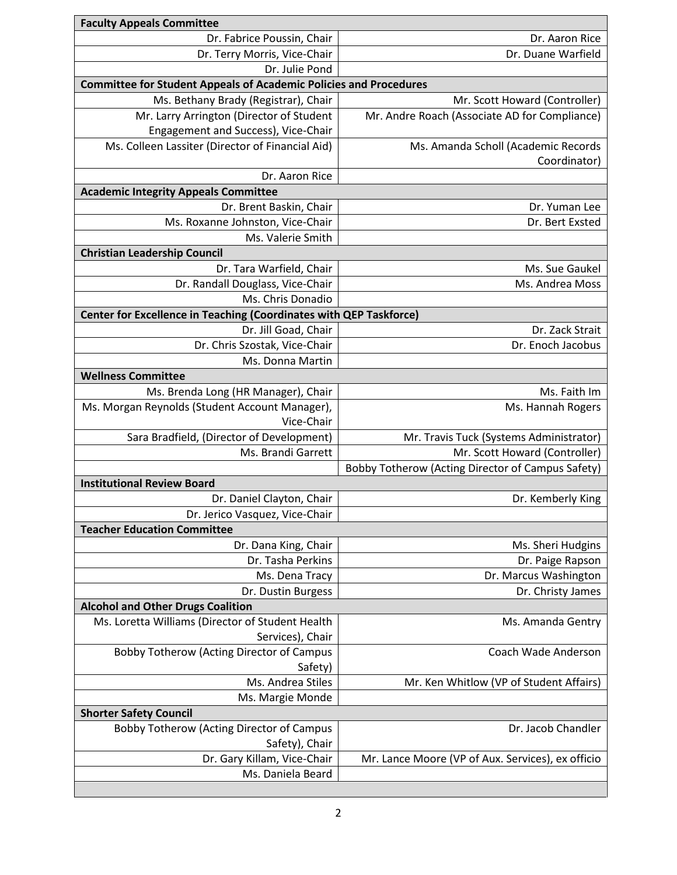| <b>Faculty Appeals Committee</b>                                         |                                                   |  |
|--------------------------------------------------------------------------|---------------------------------------------------|--|
| Dr. Fabrice Poussin, Chair                                               | Dr. Aaron Rice                                    |  |
| Dr. Terry Morris, Vice-Chair                                             | Dr. Duane Warfield                                |  |
| Dr. Julie Pond                                                           |                                                   |  |
| <b>Committee for Student Appeals of Academic Policies and Procedures</b> |                                                   |  |
| Ms. Bethany Brady (Registrar), Chair                                     | Mr. Scott Howard (Controller)                     |  |
| Mr. Larry Arrington (Director of Student                                 | Mr. Andre Roach (Associate AD for Compliance)     |  |
| Engagement and Success), Vice-Chair                                      |                                                   |  |
| Ms. Colleen Lassiter (Director of Financial Aid)                         | Ms. Amanda Scholl (Academic Records               |  |
|                                                                          | Coordinator)                                      |  |
| Dr. Aaron Rice                                                           |                                                   |  |
| <b>Academic Integrity Appeals Committee</b>                              |                                                   |  |
| Dr. Brent Baskin, Chair                                                  | Dr. Yuman Lee                                     |  |
| Ms. Roxanne Johnston, Vice-Chair                                         | Dr. Bert Exsted                                   |  |
| Ms. Valerie Smith                                                        |                                                   |  |
| <b>Christian Leadership Council</b>                                      |                                                   |  |
| Dr. Tara Warfield, Chair                                                 | Ms. Sue Gaukel                                    |  |
| Dr. Randall Douglass, Vice-Chair                                         | Ms. Andrea Moss                                   |  |
| Ms. Chris Donadio                                                        |                                                   |  |
| Center for Excellence in Teaching (Coordinates with QEP Taskforce)       |                                                   |  |
| Dr. Jill Goad, Chair                                                     | Dr. Zack Strait                                   |  |
| Dr. Chris Szostak, Vice-Chair                                            | Dr. Enoch Jacobus                                 |  |
| Ms. Donna Martin                                                         |                                                   |  |
| <b>Wellness Committee</b>                                                |                                                   |  |
| Ms. Brenda Long (HR Manager), Chair                                      | Ms. Faith Im                                      |  |
| Ms. Morgan Reynolds (Student Account Manager),                           | Ms. Hannah Rogers                                 |  |
| Vice-Chair                                                               |                                                   |  |
| Sara Bradfield, (Director of Development)                                | Mr. Travis Tuck (Systems Administrator)           |  |
| Ms. Brandi Garrett                                                       | Mr. Scott Howard (Controller)                     |  |
|                                                                          | Bobby Totherow (Acting Director of Campus Safety) |  |
| <b>Institutional Review Board</b>                                        |                                                   |  |
| Dr. Daniel Clayton, Chair                                                | Dr. Kemberly King                                 |  |
| Dr. Jerico Vasquez, Vice-Chair                                           |                                                   |  |
| <b>Teacher Education Committee</b>                                       |                                                   |  |
| Dr. Dana King, Chair                                                     | Ms. Sheri Hudgins                                 |  |
| Dr. Tasha Perkins                                                        | Dr. Paige Rapson                                  |  |
| Ms. Dena Tracy                                                           | Dr. Marcus Washington                             |  |
| Dr. Dustin Burgess                                                       | Dr. Christy James                                 |  |
| <b>Alcohol and Other Drugs Coalition</b>                                 |                                                   |  |
| Ms. Loretta Williams (Director of Student Health                         | Ms. Amanda Gentry                                 |  |
| Services), Chair                                                         |                                                   |  |
| <b>Bobby Totherow (Acting Director of Campus</b>                         | Coach Wade Anderson                               |  |
| Safety)                                                                  |                                                   |  |
| Ms. Andrea Stiles                                                        | Mr. Ken Whitlow (VP of Student Affairs)           |  |
| Ms. Margie Monde                                                         |                                                   |  |
| <b>Shorter Safety Council</b>                                            |                                                   |  |
| Bobby Totherow (Acting Director of Campus                                | Dr. Jacob Chandler                                |  |
| Safety), Chair                                                           |                                                   |  |
| Dr. Gary Killam, Vice-Chair                                              | Mr. Lance Moore (VP of Aux. Services), ex officio |  |
| Ms. Daniela Beard                                                        |                                                   |  |
|                                                                          |                                                   |  |